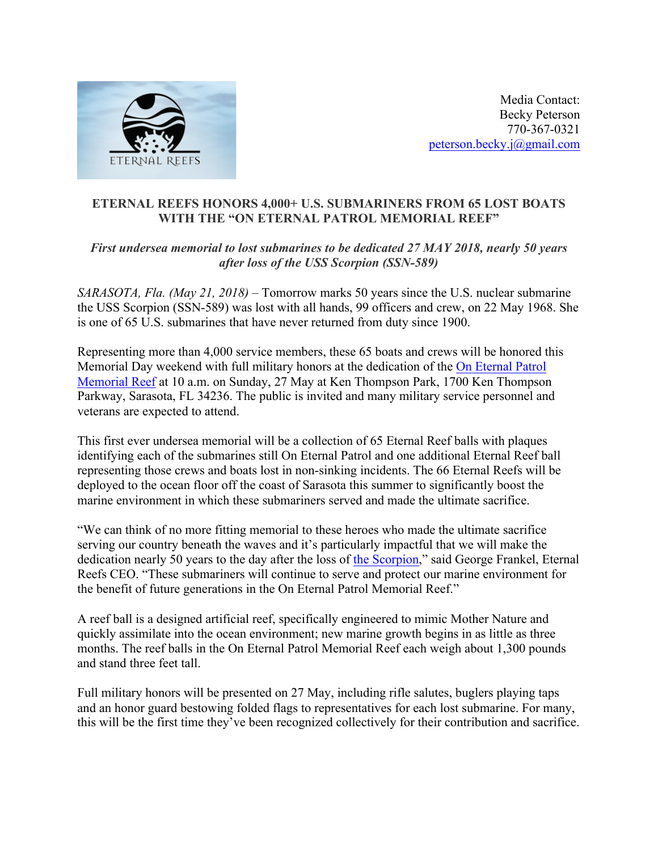

Media Contact: Becky Peterson 770-367-0321 peterson.becky.j@gmail.com

## **ETERNAL REEFS HONORS 4,000+ U.S. SUBMARINERS FROM 65 LOST BOATS WITH THE "ON ETERNAL PATROL MEMORIAL REEF"**

## *First undersea memorial to lost submarines to be dedicated 27 MAY 2018, nearly 50 years after loss of the USS Scorpion (SSN-589)*

*SARASOTA, Fla. (May 21, 2018) –* Tomorrow marks 50 years since the U.S. nuclear submarine the USS Scorpion (SSN-589) was lost with all hands, 99 officers and crew, on 22 May 1968. She is one of 65 U.S. submarines that have never returned from duty since 1900.

Representing more than 4,000 service members, these 65 boats and crews will be honored this Memorial Day weekend with full military honors at the dedication of the On Eternal Patrol Memorial Reef at 10 a.m. on Sunday, 27 May at Ken Thompson Park, 1700 Ken Thompson Parkway, Sarasota, FL 34236. The public is invited and many military service personnel and veterans are expected to attend.

This first ever undersea memorial will be a collection of 65 Eternal Reef balls with plaques identifying each of the submarines still On Eternal Patrol and one additional Eternal Reef ball representing those crews and boats lost in non-sinking incidents. The 66 Eternal Reefs will be deployed to the ocean floor off the coast of Sarasota this summer to significantly boost the marine environment in which these submariners served and made the ultimate sacrifice.

"We can think of no more fitting memorial to these heroes who made the ultimate sacrifice serving our country beneath the waves and it's particularly impactful that we will make the dedication nearly 50 years to the day after the loss of the Scorpion," said George Frankel, Eternal Reefs CEO. "These submariners will continue to serve and protect our marine environment for the benefit of future generations in the On Eternal Patrol Memorial Reef."

A reef ball is a designed artificial reef, specifically engineered to mimic Mother Nature and quickly assimilate into the ocean environment; new marine growth begins in as little as three months. The reef balls in the On Eternal Patrol Memorial Reef each weigh about 1,300 pounds and stand three feet tall.

Full military honors will be presented on 27 May, including rifle salutes, buglers playing taps and an honor guard bestowing folded flags to representatives for each lost submarine. For many, this will be the first time they've been recognized collectively for their contribution and sacrifice.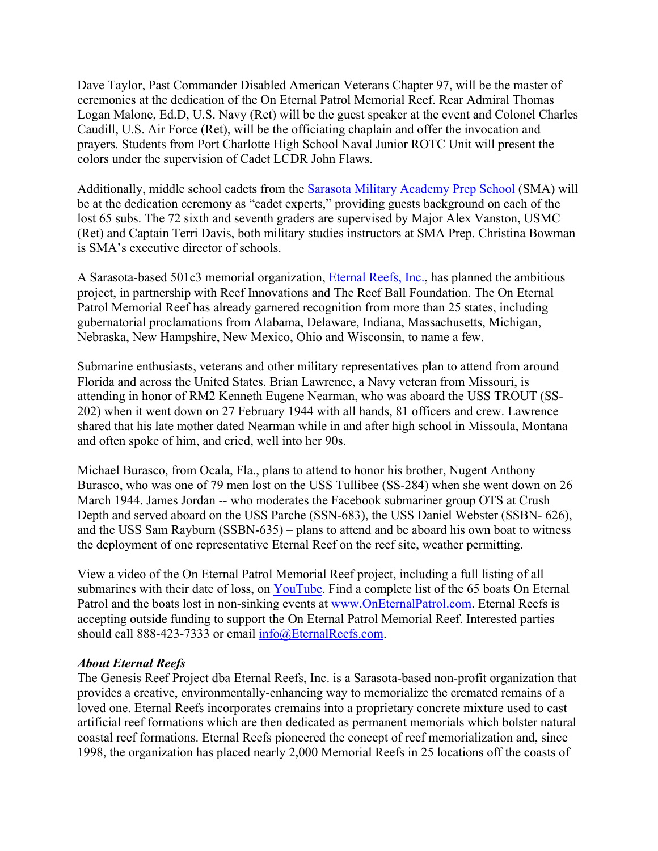Dave Taylor, Past Commander Disabled American Veterans Chapter 97, will be the master of ceremonies at the dedication of the On Eternal Patrol Memorial Reef. Rear Admiral Thomas Logan Malone, Ed.D, U.S. Navy (Ret) will be the guest speaker at the event and Colonel Charles Caudill, U.S. Air Force (Ret), will be the officiating chaplain and offer the invocation and prayers. Students from Port Charlotte High School Naval Junior ROTC Unit will present the colors under the supervision of Cadet LCDR John Flaws.

Additionally, middle school cadets from the Sarasota Military Academy Prep School (SMA) will be at the dedication ceremony as "cadet experts," providing guests background on each of the lost 65 subs. The 72 sixth and seventh graders are supervised by Major Alex Vanston, USMC (Ret) and Captain Terri Davis, both military studies instructors at SMA Prep. Christina Bowman is SMA's executive director of schools.

A Sarasota-based 501c3 memorial organization, Eternal Reefs, Inc., has planned the ambitious project, in partnership with Reef Innovations and The Reef Ball Foundation. The On Eternal Patrol Memorial Reef has already garnered recognition from more than 25 states, including gubernatorial proclamations from Alabama, Delaware, Indiana, Massachusetts, Michigan, Nebraska, New Hampshire, New Mexico, Ohio and Wisconsin, to name a few.

Submarine enthusiasts, veterans and other military representatives plan to attend from around Florida and across the United States. Brian Lawrence, a Navy veteran from Missouri, is attending in honor of RM2 Kenneth Eugene Nearman, who was aboard the USS TROUT (SS-202) when it went down on 27 February 1944 with all hands, 81 officers and crew. Lawrence shared that his late mother dated Nearman while in and after high school in Missoula, Montana and often spoke of him, and cried, well into her 90s.

Michael Burasco, from Ocala, Fla., plans to attend to honor his brother, Nugent Anthony Burasco, who was one of 79 men lost on the USS Tullibee (SS-284) when she went down on 26 March 1944. James Jordan -- who moderates the Facebook submariner group OTS at Crush Depth and served aboard on the USS Parche (SSN-683), the USS Daniel Webster (SSBN- 626), and the USS Sam Rayburn (SSBN-635) – plans to attend and be aboard his own boat to witness the deployment of one representative Eternal Reef on the reef site, weather permitting.

View a video of the On Eternal Patrol Memorial Reef project, including a full listing of all submarines with their date of loss, on YouTube. Find a complete list of the 65 boats On Eternal Patrol and the boats lost in non-sinking events at www.OnEternalPatrol.com. Eternal Reefs is accepting outside funding to support the On Eternal Patrol Memorial Reef. Interested parties should call 888-423-7333 or email info@EternalReefs.com.

## *About Eternal Reefs*

The Genesis Reef Project dba Eternal Reefs, Inc. is a Sarasota-based non-profit organization that provides a creative, environmentally-enhancing way to memorialize the cremated remains of a loved one. Eternal Reefs incorporates cremains into a proprietary concrete mixture used to cast artificial reef formations which are then dedicated as permanent memorials which bolster natural coastal reef formations. Eternal Reefs pioneered the concept of reef memorialization and, since 1998, the organization has placed nearly 2,000 Memorial Reefs in 25 locations off the coasts of